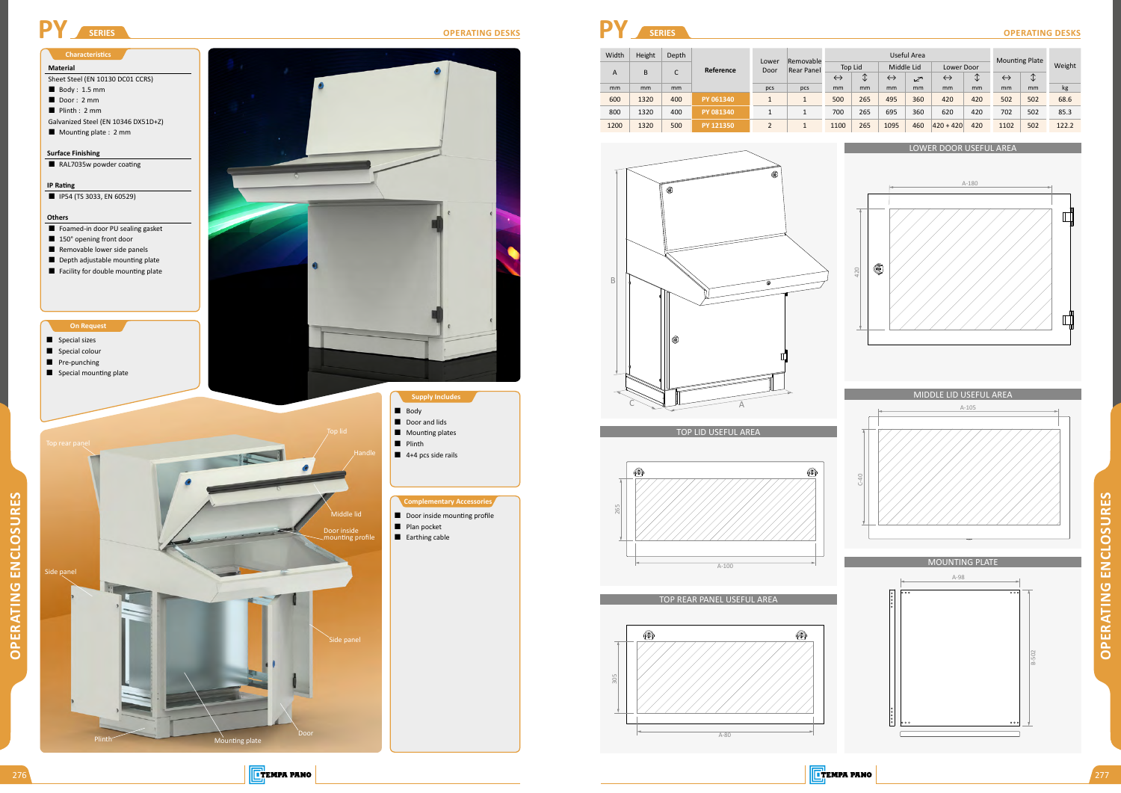## LOWER DOOR USEFUL AREA

#### TOP LID USEFUL AREA

#### TOP REAR PANEL USEFUL AREA

#### MIDDLE LID USEFUL AREA



**OPERATING ENCLOSURES OPERATING ENCLOSURES**

| Width | Height | Depth |                  |               | Removable<br>Rear Panel |                   | Useful Area     |                   |                |                   |        |                   | <b>Mounting Plate</b> |       |  |
|-------|--------|-------|------------------|---------------|-------------------------|-------------------|-----------------|-------------------|----------------|-------------------|--------|-------------------|-----------------------|-------|--|
|       |        | ┌     | Reference        | Lower<br>Door |                         | Top Lid           |                 | Middle Lid        |                | Lower Door        |        |                   | Weight                |       |  |
| A     | B      | U     |                  |               |                         | $\leftrightarrow$ | $\sqrt{ }$<br>◡ | $\leftrightarrow$ | $\mathbb{Z}^r$ | $\leftrightarrow$ | ∧<br>◡ | $\leftrightarrow$ | $\downarrow$          |       |  |
| mm    | mm     | mm    |                  | pcs           | pcs                     | mm                | mm              | mm                | mm             | mm                | mm     | mm                | mm                    | kg    |  |
| 600   | 1320   | 400   | PY 061340        |               |                         | 500               | 265             | 495               | 360            | 420               | 420    | 502               | 502                   | 68.6  |  |
| 800   | 1320   | 400   | PY 081340        |               |                         | 700               | 265             | 695               | 360            | 620               | 420    | 702               | 502                   | 85.3  |  |
| 1200  | 1320   | 500   | <b>PY 121350</b> |               |                         | 1100              | 265             | 1095              | 460            | $ 420 + 420 $     | 420    | 1102              | 502                   | 122.2 |  |

- **Material**
- Sheet Steel (EN 10130 DC01 CCRS)
- $\blacksquare$  Body : 1.5 mm
- Door: 2 mm
- Plinth : 2 mm
- Galvanized Steel (EN 10346 DX51D+Z)
- Mounting plate : 2 mm





















#### **On Request**

- Special sizes
- Special colour
- Pre-punching
- Special mounting plate

#### **Characteristics**

**OPERATING ENCLOSURES**

**OPERATING ENCLOSURES** 

**TEMPA PANO** 

## **Surface Finishing**

RAL7035w powder coating

#### **IP Rating**

**IP54 (TS 3033, EN 60529)** 

## **Others**

- Foamed-in door PU sealing gasket
- 150° opening front door
- Removable lower side panels
- Depth adjustable mounting plate **Facility for double mounting plate**



■ Earthing cable

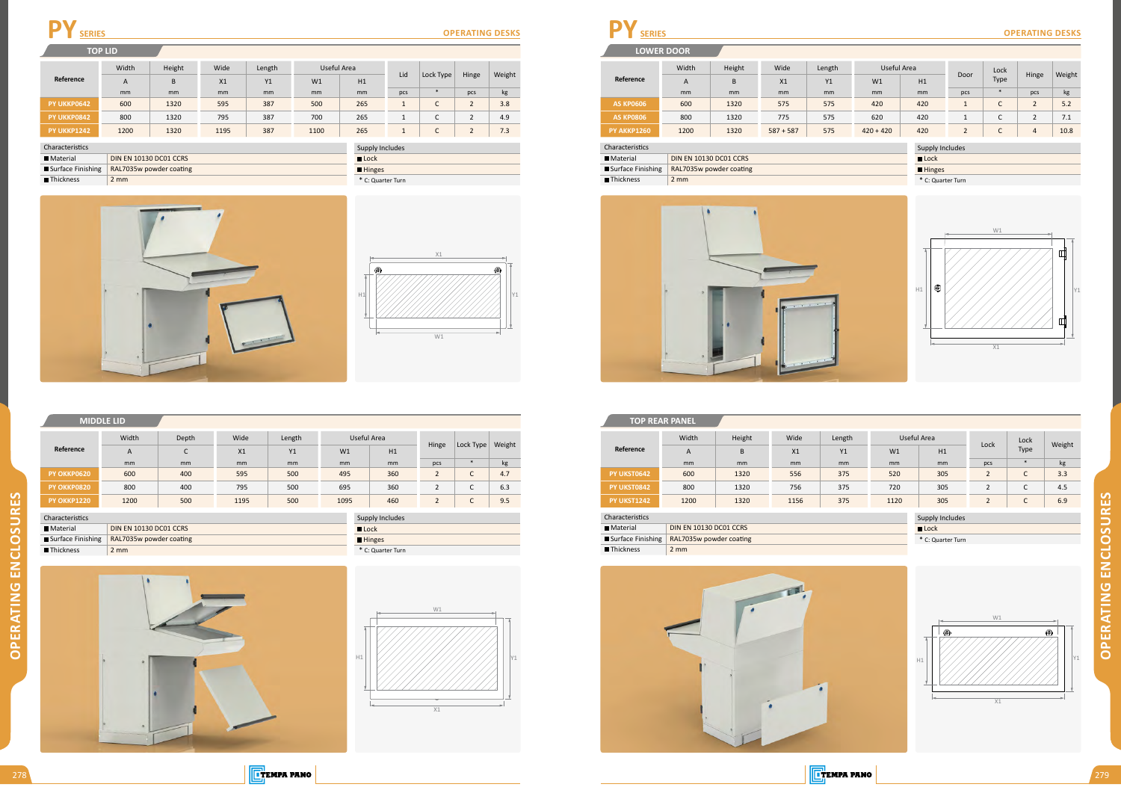

**OPERATING ENCLOSURES OPERATING ENCLOSURES**

|                  | <b>LOWER DOOR</b> |                               |             |        |                     |                 |                |             |                |        |  |
|------------------|-------------------|-------------------------------|-------------|--------|---------------------|-----------------|----------------|-------------|----------------|--------|--|
|                  | Width             | Height                        | Wide        | Length | Useful Area         |                 |                | Lock        | Hinge          | Weight |  |
| Reference        | $\overline{A}$    | B.                            | X1          | Y1     | W1                  | H1              | Door           | <b>Type</b> |                |        |  |
|                  | mm                | mm                            | mm          | mm     | mm                  | mm              | pcs            | $\ast$      | pcs            | kg     |  |
| <b>AS KP0606</b> | 600               | 1320                          | 575         | 575    | 420                 | 420             |                | С           | $\overline{2}$ | 5.2    |  |
| <b>AS KP0806</b> | 800               | 1320                          | 775         | 575    | 620                 | 420             |                | С           | 2              | 7.1    |  |
| PY AKKP1260      | 1200              | 1320                          | $587 + 587$ | 575    | $420 + 420$         | 420             | $\overline{2}$ | C           | $\overline{4}$ | 10.8   |  |
| Characteristics  |                   |                               |             |        |                     |                 |                |             |                |        |  |
|                  |                   |                               |             |        |                     | Supply Includes |                |             |                |        |  |
| <b>Material</b>  |                   | <b>DIN EN 10130 DC01 CCRS</b> |             |        | $\blacksquare$ Lock |                 |                |             |                |        |  |

■ Surface Finishing RAL7035w powder coating ■Thickness 2 mm





\* C: Quarter Turn

**TEMPA PANO** 

| <b>TOP REAR PANEL</b> |                               |                         |      |        |      |                     |                   |             |        |  |  |
|-----------------------|-------------------------------|-------------------------|------|--------|------|---------------------|-------------------|-------------|--------|--|--|
|                       | Width                         | Height                  | Wide | Length |      | Useful Area         |                   | Lock        |        |  |  |
| Reference             | A                             | B                       | X1   | Y1     | W1   | H1                  | Lock              | <b>Type</b> | Weight |  |  |
|                       | mm                            | <sub>mm</sub>           | mm   | mm     | mm   | <sub>mm</sub>       | pcs               | $\ast$      | kg     |  |  |
| PY UKST0642           | 600                           | 1320                    | 556  | 375    | 520  | 305                 | $\overline{2}$    | C           | 3.3    |  |  |
| PY UKST0842           | 800                           | 1320                    | 756  | 375    | 720  | 305                 | $\overline{2}$    | C           | 4.5    |  |  |
| PY UKST1242           | 1200                          | 1320                    | 1156 | 375    | 1120 | 305                 | $\overline{2}$    | C           | 6.9    |  |  |
| Characteristics       |                               |                         |      |        |      | Supply Includes     |                   |             |        |  |  |
| <b>Material</b>       | <b>DIN EN 10130 DC01 CCRS</b> |                         |      |        |      | $\blacksquare$ Lock |                   |             |        |  |  |
| Surface Finishing     |                               | RAL7035w powder coating |      |        |      |                     | * C: Quarter Turn |             |        |  |  |
| Thickness             | $2 \, \text{mm}$              |                         |      |        |      |                     |                   |             |        |  |  |
|                       |                               |                         |      |        |      |                     |                   |             |        |  |  |

| _ulduelidi  | LUIN EIN TUTOU DEUI CENS                  |
|-------------|-------------------------------------------|
|             | Surface Finishing RAL7035w powder coating |
| ■ Thickness | $2 \text{ mm}$                            |





**Hinges** 

**Reference**

A B X1 Y1 W1 H1

mm mm mm mm mm mm pcs \* pcs kg

|                 | <b>MIDDLE LID</b> |       |               |        |             |                 |                |                               |        |
|-----------------|-------------------|-------|---------------|--------|-------------|-----------------|----------------|-------------------------------|--------|
|                 | Width             | Depth | Wide          | Length | Useful Area |                 |                |                               |        |
| Reference       | A                 | C     | X1            | Y1     | W1          | H1              | Hinge          | Lock Type                     | Weight |
|                 | mm                | mm    | <sub>mm</sub> | mm     | mm          | <sub>mm</sub>   | pcs            | $\ast$                        | kg     |
| PY OKKP0620     | 600               | 400   | 595           | 500    | 495         | 360             | $\overline{2}$ | С                             | 4.7    |
| PY OKKP0820     | 800               | 400   | 795           | 500    | 695         | 360             | $\overline{2}$ | C                             | 6.3    |
| PY OKKP1220     | 1200              | 500   | 1195          | 500    | 1095        | 460             | $\overline{2}$ | $\overline{\phantom{0}}$<br>J | 9.5    |
| Characteristics |                   |       |               |        |             | Supply Includes |                |                               |        |

| PY UKKP0642              | 600              | 1320                    | 595  | 387 | 500  | 265                 |                   | $\sqrt{ }$<br>◡ | 2              | 3.8 |  |
|--------------------------|------------------|-------------------------|------|-----|------|---------------------|-------------------|-----------------|----------------|-----|--|
| PY UKKP0842              | 800              | 1320                    | 795  | 387 | 700  | 265                 |                   | ◡               | 2              | 4.9 |  |
| <b>PY UKKP1242</b>       | 1200             | 1320                    | 1195 | 387 | 1100 | 265                 |                   | $\sqrt{2}$<br>◡ | $\overline{2}$ | 7.3 |  |
| haracteristics           | Supply Includes  |                         |      |     |      |                     |                   |                 |                |     |  |
| Material                 |                  | DIN EN 10130 DC01 CCRS  |      |     |      | $\blacksquare$ Lock |                   |                 |                |     |  |
| <b>Surface Finishing</b> |                  | RAL7035w powder coating |      |     |      | <b>Hinges</b>       |                   |                 |                |     |  |
| Thickness                | $2 \, \text{mm}$ |                         |      |     |      |                     | * C: Quarter Turn |                 |                |     |  |
|                          |                  |                         |      |     |      |                     |                   |                 |                |     |  |



Width | Height | Wide | Length | Useful Area

# **PY** SERIES OPERATING DESKS

**TOP COVER TOP LID**

Material DIN EN 10130 DC01 CCRS Surface Finishing RAL7035w powder coating





| <b>E</b> TEMPA PANO |  |
|---------------------|--|

Characteristics

■Thickness 2 mm

Lid Lock Type Hinge Weight



Material DIN EN 10130 DC01 CCRS Surface Finishing RAL7035w powder coating

| <b>Supply Includes</b> |
|------------------------|
| $\blacksquare$ Lock    |
| <b>Hinges</b>          |
| * C: Quarter Turn      |